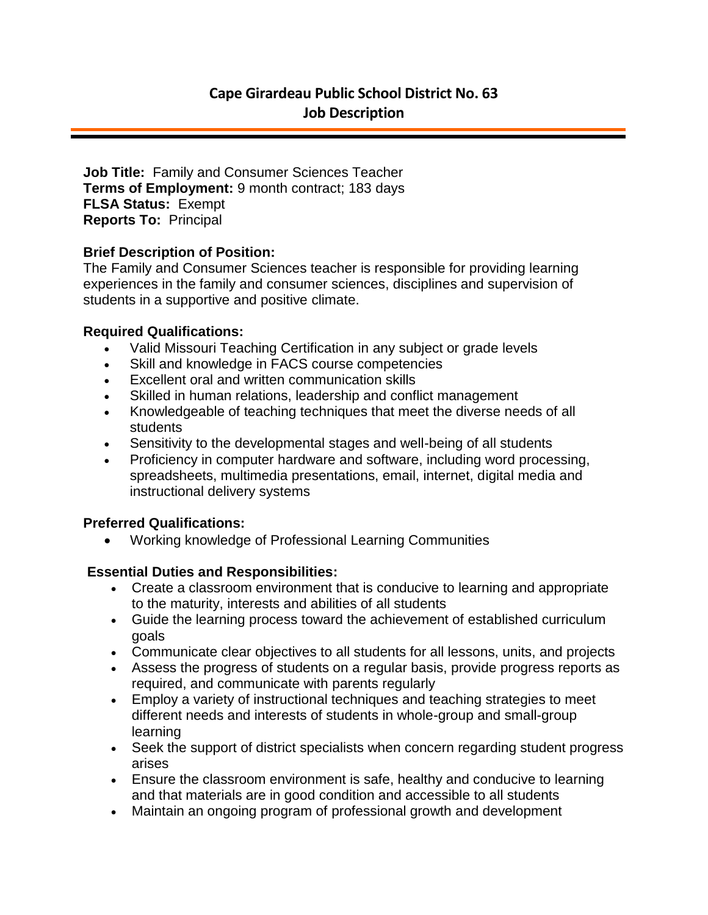**Job Title:** Family and Consumer Sciences Teacher **Terms of Employment:** 9 month contract; 183 days **FLSA Status:** Exempt **Reports To:** Principal

## **Brief Description of Position:**

The Family and Consumer Sciences teacher is responsible for providing learning experiences in the family and consumer sciences, disciplines and supervision of students in a supportive and positive climate.

### **Required Qualifications:**

- Valid Missouri Teaching Certification in any subject or grade levels
- Skill and knowledge in FACS course competencies
- Excellent oral and written communication skills
- Skilled in human relations, leadership and conflict management
- Knowledgeable of teaching techniques that meet the diverse needs of all students
- Sensitivity to the developmental stages and well-being of all students
- Proficiency in computer hardware and software, including word processing, spreadsheets, multimedia presentations, email, internet, digital media and instructional delivery systems

# **Preferred Qualifications:**

Working knowledge of Professional Learning Communities

# **Essential Duties and Responsibilities:**

- Create a classroom environment that is conducive to learning and appropriate to the maturity, interests and abilities of all students
- Guide the learning process toward the achievement of established curriculum goals
- Communicate clear objectives to all students for all lessons, units, and projects
- Assess the progress of students on a regular basis, provide progress reports as required, and communicate with parents regularly
- Employ a variety of instructional techniques and teaching strategies to meet different needs and interests of students in whole-group and small-group learning
- Seek the support of district specialists when concern regarding student progress arises
- Ensure the classroom environment is safe, healthy and conducive to learning and that materials are in good condition and accessible to all students
- Maintain an ongoing program of professional growth and development